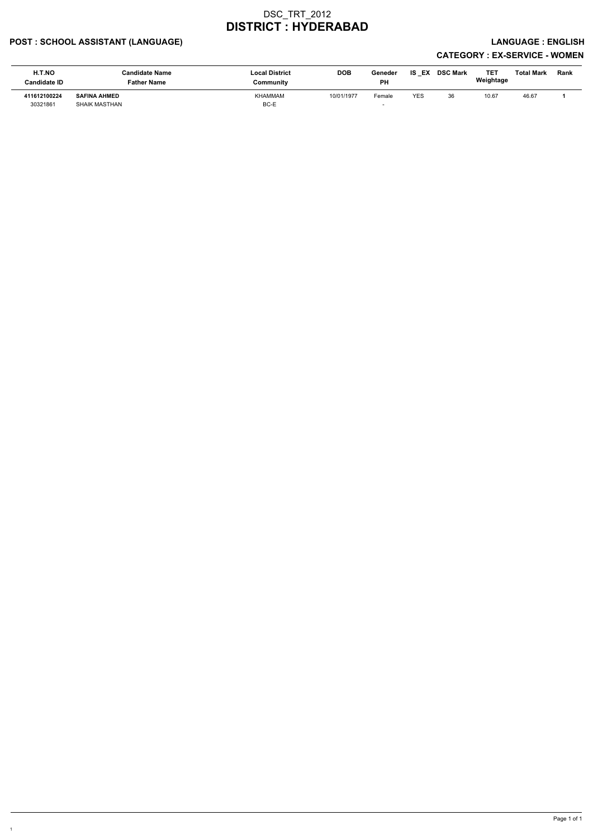### POST : SCHOOL ASSISTANT (LANGUAGE) And the state of the state of the state of the state of the state of the state of the state of the state of the state of the state of the state of the state of the state of the state of t

# CATEGORY : EX-SERVICE - WOMEN

| H.T.NO<br><b>Candidate ID</b> | <b>Candidate Name</b><br><b>Father Name</b> | <b>Local District</b><br>Community | <b>DOB</b> | Geneder<br><b>PH</b> | IS<br>EX | <b>DSC Mark</b> | TET<br>Weightage | Total Mark | Rank |
|-------------------------------|---------------------------------------------|------------------------------------|------------|----------------------|----------|-----------------|------------------|------------|------|
| 411612100224<br>30321861      | <b>SAFINA AHMED</b><br>SHAIK MASTHAN        | <b>KHAMMAM</b><br>BC-E             | 10/01/1977 | Female               | YES      | 36              | 10.67            | 46.67      |      |

1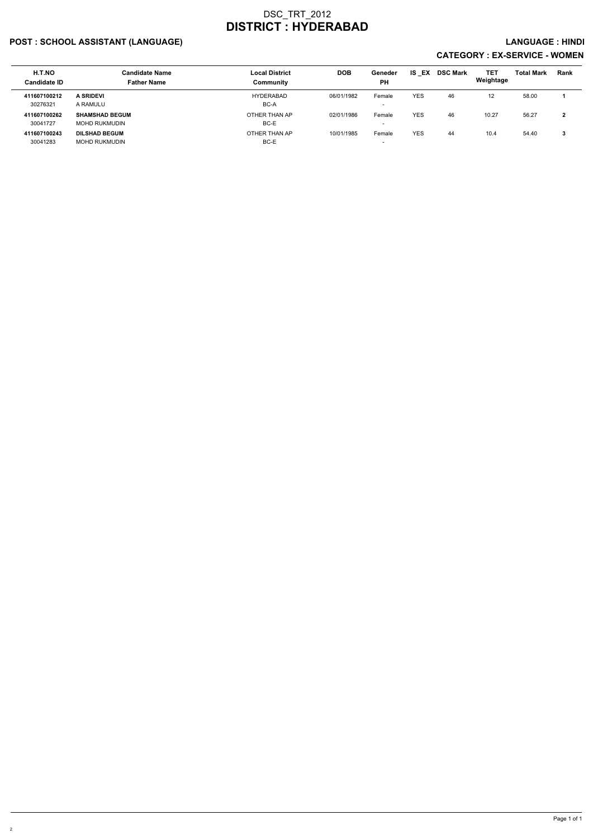### POST : SCHOOL ASSISTANT (LANGUAGE) And the set of the set of the set of the set of the set of the set of the set of the set of the set of the set of the set of the set of the set of the set of the set of the set of the set

| H.T.NO<br><b>Candidate ID</b> | <b>Candidate Name</b><br><b>Father Name</b> | <b>Local District</b><br>Community | <b>DOB</b> | Geneder<br><b>PH</b>               | IS EX      | <b>DSC Mark</b> | TET<br>Weightage  | <b>Total Mark</b> | <b>Rank</b> |
|-------------------------------|---------------------------------------------|------------------------------------|------------|------------------------------------|------------|-----------------|-------------------|-------------------|-------------|
| 411607100212<br>30276321      | <b>A SRIDEVI</b><br>A RAMULU                | <b>HYDERABAD</b><br>BC-A           | 06/01/1982 | Female<br>$\overline{\phantom{a}}$ | <b>YES</b> | 46              | $12 \overline{ }$ | 58.00             |             |
| 411607100262<br>30041727      | <b>SHAMSHAD BEGUM</b><br>MOHD RUKMUDIN      | OTHER THAN AP<br>BC-E              | 02/01/1986 | Female<br>$\overline{\phantom{0}}$ | <b>YES</b> | 46              | 10.27             | 56.27             | າ<br>▴      |
| 411607100243<br>30041283      | <b>DILSHAD BEGUM</b><br>MOHD RUKMUDIN       | OTHER THAN AP<br>BC-E              | 10/01/1985 | Female<br>$\overline{\phantom{0}}$ | <b>YES</b> | 44              | 10.4              | 54.40             | 3           |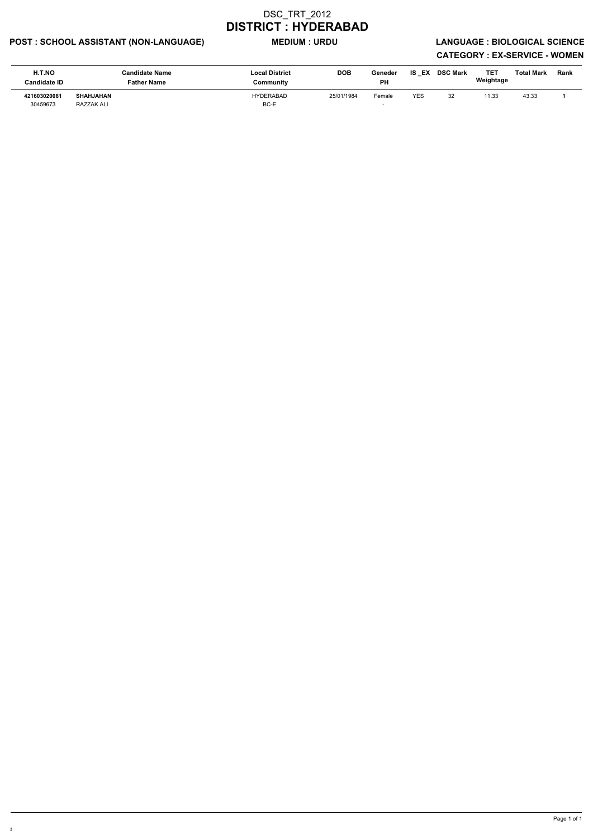### POST : SCHOOL ASSISTANT (NON-LANGUAGE) MEDIUM : URDU LANGUAGE : BIOLOGICAL SCIENCE

| H.T.NO<br><b>Candidate ID</b> | <b>Candidate Name</b><br><b>Father Name</b> | <b>Local District</b><br>Community | <b>DOB</b> | Geneder<br>PH | IS.<br>EX  | <b>DSC Mark</b> | TET<br>Weightage | <b>Total Mark</b> | Rank |
|-------------------------------|---------------------------------------------|------------------------------------|------------|---------------|------------|-----------------|------------------|-------------------|------|
| 421603020081<br>30459673      | <b>SHAHJAHAN</b><br>RAZZAK ALI              | <b>HYDERABAD</b><br>BC-E           | 25/01/1984 | Female        | <b>YES</b> | 32              | 11.33            | 43.33             |      |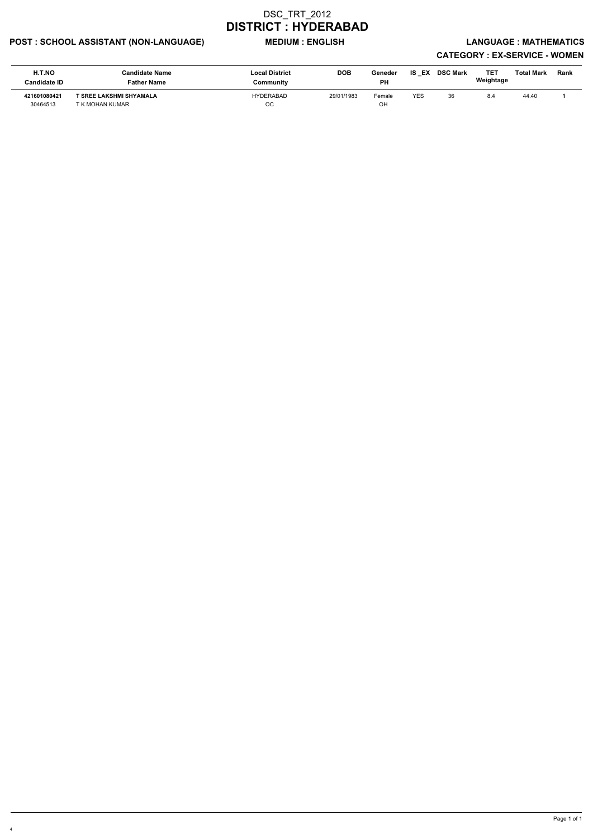### POST : SCHOOL ASSISTANT (NON-LANGUAGE) MEDIUM : ENGLISH LANGUAGE : MATHEMATICS

# CATEGORY : EX-SERVICE - WOMEN

| <b>H.T.NO</b><br><b>Candidate ID</b> | <b>Candidate Name</b><br><b>Father Name</b> | <b>Local District</b><br>Community | <b>DOB</b> | Geneder<br><b>PH</b> | EX<br>IS   | <b>DSC Mark</b> | TE.<br>Weightage | <b>Total Mark</b> | Rank |
|--------------------------------------|---------------------------------------------|------------------------------------|------------|----------------------|------------|-----------------|------------------|-------------------|------|
| 421601080421<br>30464513             | T SREE LAKSHMI SHYAMALA<br>T K MOHAN KUMAR  | HYDERABAD<br>OС                    | 29/01/1983 | Female<br>OH         | <b>YES</b> | 36              | 8.4              | 44.40             |      |

4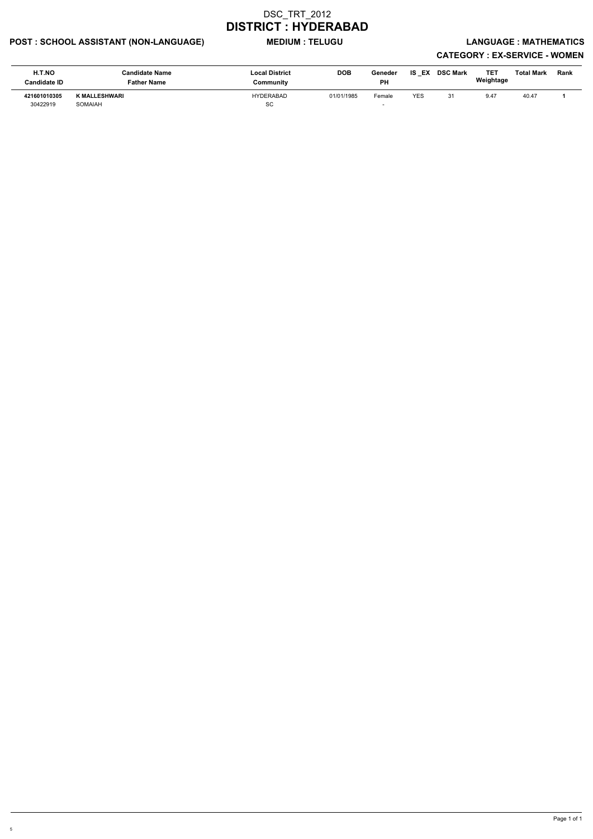### POST : SCHOOL ASSISTANT (NON-LANGUAGE) MEDIUM : TELUGU LANGUAGE : MATHEMATICS

| H.T.NO<br>Candidate ID   | <b>Candidate Name</b><br><b>Father Name</b> | <b>Local District</b><br>Community | <b>DOB</b> | Geneder<br>PH | IS<br>EX   | <b>DSC Mark</b> | TET<br>Weightage | Total Mark | Rank |
|--------------------------|---------------------------------------------|------------------------------------|------------|---------------|------------|-----------------|------------------|------------|------|
| 421601010305<br>30422919 | <b>K MALLESHWARI</b><br>SOMAIAH             | <b>HYDERABAD</b><br>SC             | 01/01/1985 | Female        | <b>YES</b> | 31              | 9.47             | 40.47      |      |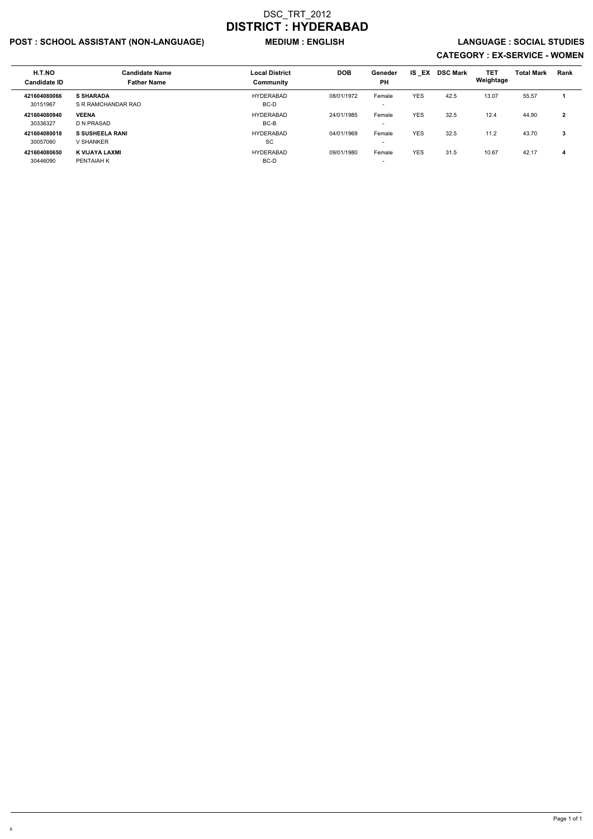### POST : SCHOOL ASSISTANT (NON-LANGUAGE) WEDIUM : ENGLISH LANGUAGE : SOCIAL STUDIES

| H.T.NO<br><b>Candidate ID</b> | <b>Candidate Name</b><br><b>Father Name</b> | <b>Local District</b><br>Community | <b>DOB</b> | Geneder<br><b>PH</b>               | <b>IS EX</b> | <b>DSC Mark</b> | <b>TET</b><br>Weightage | <b>Total Mark</b> | Rank           |
|-------------------------------|---------------------------------------------|------------------------------------|------------|------------------------------------|--------------|-----------------|-------------------------|-------------------|----------------|
| 421604080066<br>30151967      | <b>S SHARADA</b><br>S R RAMCHANDAR RAO      | <b>HYDERABAD</b><br>BC-D           | 08/01/1972 | Female<br>$\overline{\phantom{0}}$ | <b>YES</b>   | 42.5            | 13.07                   | 55.57             |                |
| 421604080940<br>30336327      | <b>VEENA</b><br>D N PRASAD                  | <b>HYDERABAD</b><br>BC-B           | 24/01/1985 | Female<br>$\overline{\phantom{a}}$ | <b>YES</b>   | 32.5            | 12.4                    | 44.90             | $\overline{2}$ |
| 421604080018<br>30057060      | <b>S SUSHEELA RANI</b><br>V SHANKER         | <b>HYDERABAD</b><br>SC             | 04/01/1969 | Female<br>$\overline{\phantom{a}}$ | <b>YES</b>   | 32.5            | 11.2                    | 43.70             | -3             |
| 421604080650<br>30446090      | K VIJAYA LAXMI<br>PENTAIAH K                | <b>HYDERABAD</b><br>BC-D           | 09/01/1980 | Female<br>$\overline{\phantom{0}}$ | <b>YES</b>   | 31.5            | 10.67                   | 42.17             | 4              |